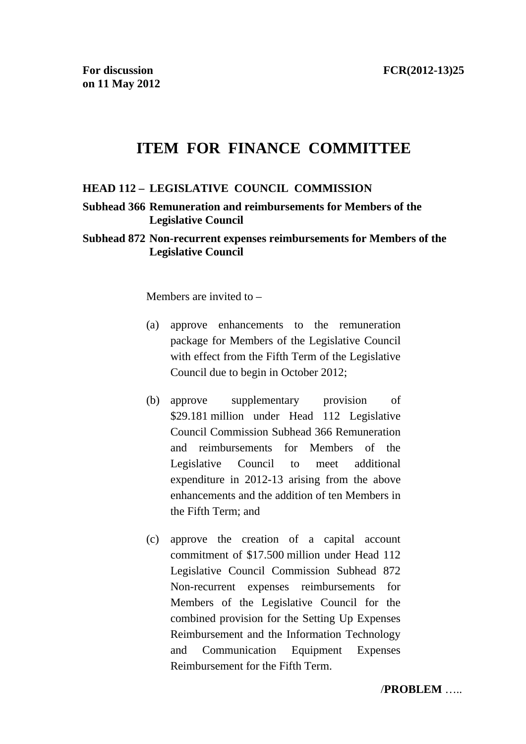# **ITEM FOR FINANCE COMMITTEE**

#### **HEAD 112 – LEGISLATIVE COUNCIL COMMISSION**

#### **Subhead 366 Remuneration and reimbursements for Members of the Legislative Council**

#### **Subhead 872 Non-recurrent expenses reimbursements for Members of the Legislative Council**

Members are invited to –

- (a) approve enhancements to the remuneration package for Members of the Legislative Council with effect from the Fifth Term of the Legislative Council due to begin in October 2012;
- (b) approve supplementary provision of \$29.181 million under Head 112 Legislative Council Commission Subhead 366 Remuneration and reimbursements for Members of the Legislative Council to meet additional expenditure in 2012-13 arising from the above enhancements and the addition of ten Members in the Fifth Term; and
- (c) approve the creation of a capital account commitment of \$17.500 million under Head 112 Legislative Council Commission Subhead 872 Non-recurrent expenses reimbursements for Members of the Legislative Council for the combined provision for the Setting Up Expenses Reimbursement and the Information Technology and Communication Equipment Expenses Reimbursement for the Fifth Term.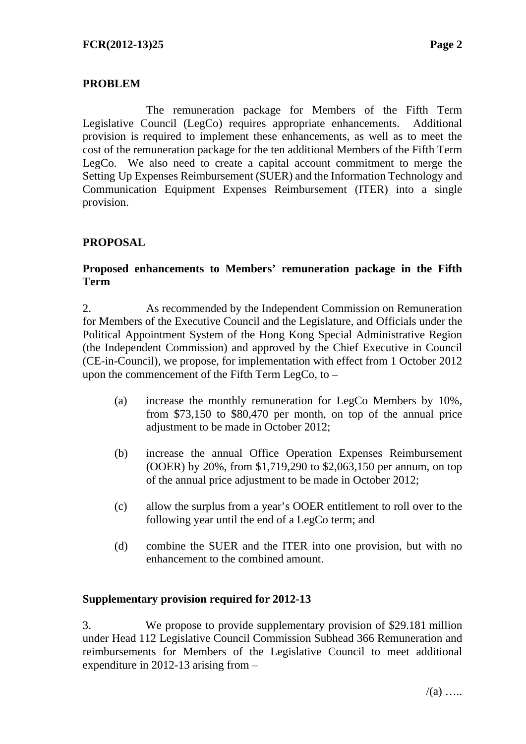## **PROBLEM**

 The remuneration package for Members of the Fifth Term Legislative Council (LegCo) requires appropriate enhancements. Additional provision is required to implement these enhancements, as well as to meet the cost of the remuneration package for the ten additional Members of the Fifth Term LegCo. We also need to create a capital account commitment to merge the Setting Up Expenses Reimbursement (SUER) and the Information Technology and Communication Equipment Expenses Reimbursement (ITER) into a single provision.

## **PROPOSAL**

#### **Proposed enhancements to Members' remuneration package in the Fifth Term**

2. As recommended by the Independent Commission on Remuneration for Members of the Executive Council and the Legislature, and Officials under the Political Appointment System of the Hong Kong Special Administrative Region (the Independent Commission) and approved by the Chief Executive in Council (CE-in-Council), we propose, for implementation with effect from 1 October 2012 upon the commencement of the Fifth Term LegCo, to –

- (a) increase the monthly remuneration for LegCo Members by 10%, from \$73,150 to \$80,470 per month, on top of the annual price adjustment to be made in October 2012;
- (b) increase the annual Office Operation Expenses Reimbursement (OOER) by 20%, from \$1,719,290 to \$2,063,150 per annum, on top of the annual price adjustment to be made in October 2012;
- (c) allow the surplus from a year's OOER entitlement to roll over to the following year until the end of a LegCo term; and
- (d) combine the SUER and the ITER into one provision, but with no enhancement to the combined amount.

#### **Supplementary provision required for 2012-13**

3. We propose to provide supplementary provision of \$29.181 million under Head 112 Legislative Council Commission Subhead 366 Remuneration and reimbursements for Members of the Legislative Council to meet additional expenditure in 2012-13 arising from –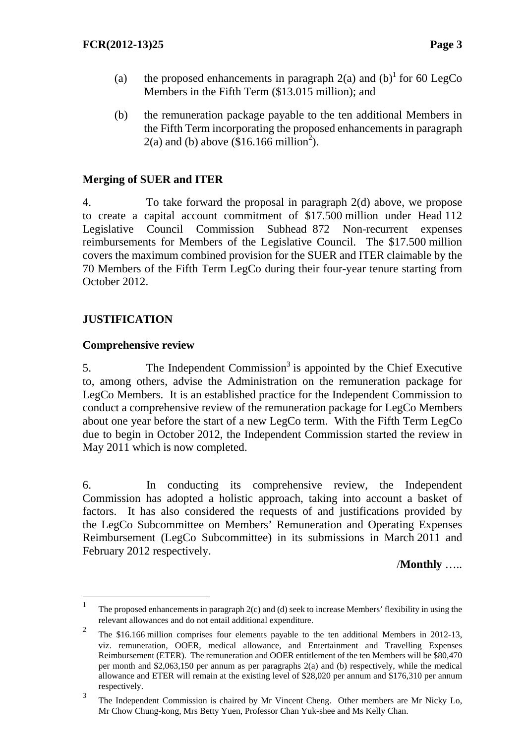- (a) the proposed enhancements in paragraph  $2(a)$  and  $(b)^{1}$  for 60 LegCo Members in the Fifth Term (\$13.015 million); and
- (b) the remuneration package payable to the ten additional Members in the Fifth Term incorporating the proposed enhancements in paragraph  $2(a)$  and (b) above  $(\$16.166 \text{ million}^2)$ .

## **Merging of SUER and ITER**

4. To take forward the proposal in paragraph 2(d) above, we propose to create a capital account commitment of \$17.500 million under Head 112 Legislative Council Commission Subhead 872 Non-recurrent expenses reimbursements for Members of the Legislative Council. The \$17.500 million covers the maximum combined provision for the SUER and ITER claimable by the 70 Members of the Fifth Term LegCo during their four-year tenure starting from October 2012.

## **JUSTIFICATION**

 $\overline{a}$ 

#### **Comprehensive review**

5. The Independent Commission<sup>3</sup> is appointed by the Chief Executive to, among others, advise the Administration on the remuneration package for LegCo Members. It is an established practice for the Independent Commission to conduct a comprehensive review of the remuneration package for LegCo Members about one year before the start of a new LegCo term. With the Fifth Term LegCo due to begin in October 2012, the Independent Commission started the review in May 2011 which is now completed.

6. In conducting its comprehensive review, the Independent Commission has adopted a holistic approach, taking into account a basket of factors. It has also considered the requests of and justifications provided by the LegCo Subcommittee on Members' Remuneration and Operating Expenses Reimbursement (LegCo Subcommittee) in its submissions in March 2011 and February 2012 respectively.

/**Monthly** …..

<sup>1</sup> The proposed enhancements in paragraph 2(c) and (d) seek to increase Members' flexibility in using the relevant allowances and do not entail additional expenditure.

<sup>&</sup>lt;sup>2</sup> The \$16.166 million comprises four elements payable to the ten additional Members in 2012-13, viz. remuneration, OOER, medical allowance, and Entertainment and Travelling Expenses Reimbursement (ETER). The remuneration and OOER entitlement of the ten Members will be \$80,470 per month and \$2,063,150 per annum as per paragraphs 2(a) and (b) respectively, while the medical allowance and ETER will remain at the existing level of \$28,020 per annum and \$176,310 per annum respectively.

<sup>3</sup> The Independent Commission is chaired by Mr Vincent Cheng. Other members are Mr Nicky Lo, Mr Chow Chung-kong, Mrs Betty Yuen, Professor Chan Yuk-shee and Ms Kelly Chan.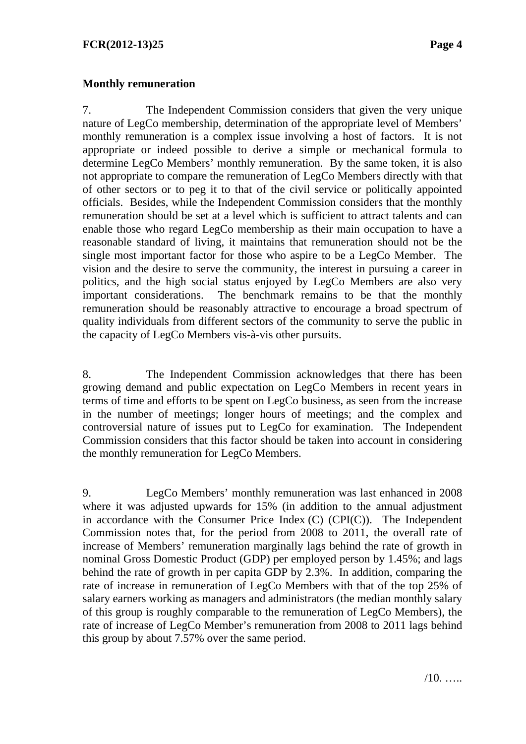### **Monthly remuneration**

7. The Independent Commission considers that given the very unique nature of LegCo membership, determination of the appropriate level of Members' monthly remuneration is a complex issue involving a host of factors. It is not appropriate or indeed possible to derive a simple or mechanical formula to determine LegCo Members' monthly remuneration. By the same token, it is also not appropriate to compare the remuneration of LegCo Members directly with that of other sectors or to peg it to that of the civil service or politically appointed officials. Besides, while the Independent Commission considers that the monthly remuneration should be set at a level which is sufficient to attract talents and can enable those who regard LegCo membership as their main occupation to have a reasonable standard of living, it maintains that remuneration should not be the single most important factor for those who aspire to be a LegCo Member. The vision and the desire to serve the community, the interest in pursuing a career in politics, and the high social status enjoyed by LegCo Members are also very important considerations. The benchmark remains to be that the monthly remuneration should be reasonably attractive to encourage a broad spectrum of quality individuals from different sectors of the community to serve the public in the capacity of LegCo Members vis-à-vis other pursuits.

8. The Independent Commission acknowledges that there has been growing demand and public expectation on LegCo Members in recent years in terms of time and efforts to be spent on LegCo business, as seen from the increase in the number of meetings; longer hours of meetings; and the complex and controversial nature of issues put to LegCo for examination. The Independent Commission considers that this factor should be taken into account in considering the monthly remuneration for LegCo Members.

9. LegCo Members' monthly remuneration was last enhanced in 2008 where it was adjusted upwards for 15% (in addition to the annual adjustment in accordance with the Consumer Price Index  $(C)$   $(CPI(C))$ . The Independent Commission notes that, for the period from 2008 to 2011, the overall rate of increase of Members' remuneration marginally lags behind the rate of growth in nominal Gross Domestic Product (GDP) per employed person by 1.45%; and lags behind the rate of growth in per capita GDP by 2.3%. In addition, comparing the rate of increase in remuneration of LegCo Members with that of the top 25% of salary earners working as managers and administrators (the median monthly salary of this group is roughly comparable to the remuneration of LegCo Members), the rate of increase of LegCo Member's remuneration from 2008 to 2011 lags behind this group by about 7.57% over the same period.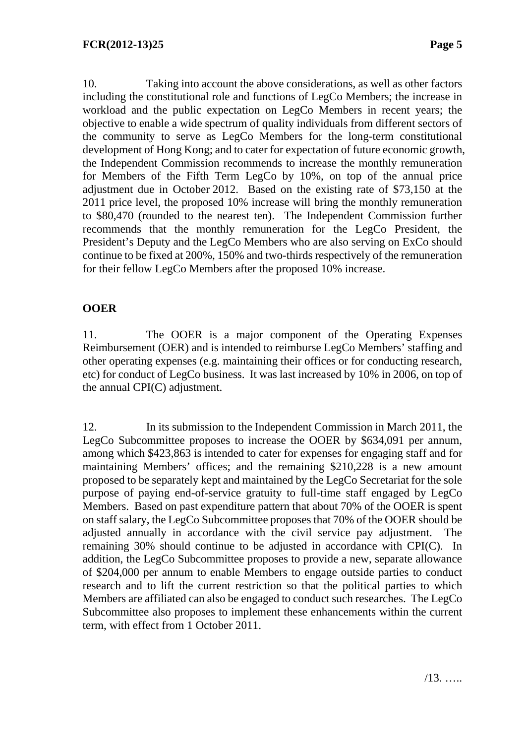10. Taking into account the above considerations, as well as other factors including the constitutional role and functions of LegCo Members; the increase in workload and the public expectation on LegCo Members in recent years; the objective to enable a wide spectrum of quality individuals from different sectors of the community to serve as LegCo Members for the long-term constitutional development of Hong Kong; and to cater for expectation of future economic growth, the Independent Commission recommends to increase the monthly remuneration for Members of the Fifth Term LegCo by 10%, on top of the annual price adjustment due in October 2012. Based on the existing rate of \$73,150 at the 2011 price level, the proposed 10% increase will bring the monthly remuneration to \$80,470 (rounded to the nearest ten). The Independent Commission further recommends that the monthly remuneration for the LegCo President, the President's Deputy and the LegCo Members who are also serving on ExCo should continue to be fixed at 200%, 150% and two-thirds respectively of the remuneration for their fellow LegCo Members after the proposed 10% increase.

# **OOER**

11. The OOER is a major component of the Operating Expenses Reimbursement (OER) and is intended to reimburse LegCo Members' staffing and other operating expenses (e.g. maintaining their offices or for conducting research, etc) for conduct of LegCo business. It was last increased by 10% in 2006, on top of the annual CPI(C) adjustment.

12. In its submission to the Independent Commission in March 2011, the LegCo Subcommittee proposes to increase the OOER by \$634,091 per annum, among which \$423,863 is intended to cater for expenses for engaging staff and for maintaining Members' offices; and the remaining \$210,228 is a new amount proposed to be separately kept and maintained by the LegCo Secretariat for the sole purpose of paying end-of-service gratuity to full-time staff engaged by LegCo Members. Based on past expenditure pattern that about 70% of the OOER is spent on staff salary, the LegCo Subcommittee proposes that 70% of the OOER should be adjusted annually in accordance with the civil service pay adjustment. The remaining 30% should continue to be adjusted in accordance with CPI(C). In addition, the LegCo Subcommittee proposes to provide a new, separate allowance of \$204,000 per annum to enable Members to engage outside parties to conduct research and to lift the current restriction so that the political parties to which Members are affiliated can also be engaged to conduct such researches. The LegCo Subcommittee also proposes to implement these enhancements within the current term, with effect from 1 October 2011.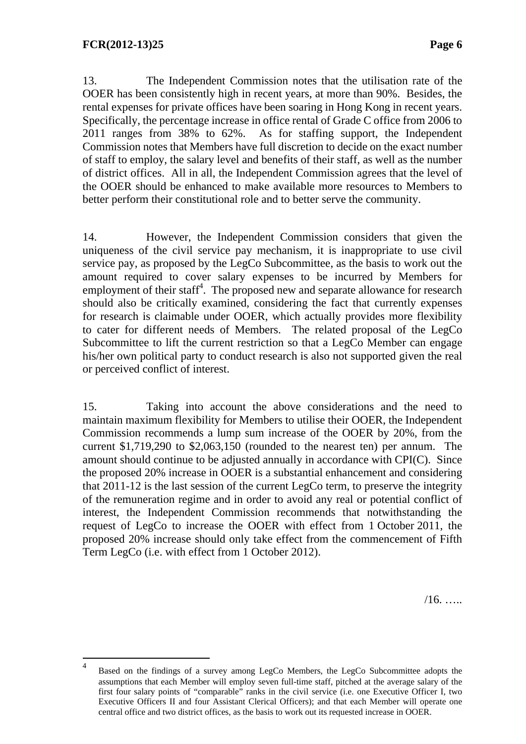$\overline{a}$ 

13. The Independent Commission notes that the utilisation rate of the OOER has been consistently high in recent years, at more than 90%. Besides, the rental expenses for private offices have been soaring in Hong Kong in recent years. Specifically, the percentage increase in office rental of Grade C office from 2006 to 2011 ranges from 38% to 62%. As for staffing support, the Independent Commission notes that Members have full discretion to decide on the exact number of staff to employ, the salary level and benefits of their staff, as well as the number of district offices. All in all, the Independent Commission agrees that the level of the OOER should be enhanced to make available more resources to Members to better perform their constitutional role and to better serve the community.

14. However, the Independent Commission considers that given the uniqueness of the civil service pay mechanism, it is inappropriate to use civil service pay, as proposed by the LegCo Subcommittee, as the basis to work out the amount required to cover salary expenses to be incurred by Members for employment of their staff<sup>4</sup>. The proposed new and separate allowance for research should also be critically examined, considering the fact that currently expenses for research is claimable under OOER, which actually provides more flexibility to cater for different needs of Members. The related proposal of the LegCo Subcommittee to lift the current restriction so that a LegCo Member can engage his/her own political party to conduct research is also not supported given the real or perceived conflict of interest.

15. Taking into account the above considerations and the need to maintain maximum flexibility for Members to utilise their OOER, the Independent Commission recommends a lump sum increase of the OOER by 20%, from the current \$1,719,290 to \$2,063,150 (rounded to the nearest ten) per annum. The amount should continue to be adjusted annually in accordance with CPI(C). Since the proposed 20% increase in OOER is a substantial enhancement and considering that 2011-12 is the last session of the current LegCo term, to preserve the integrity of the remuneration regime and in order to avoid any real or potential conflict of interest, the Independent Commission recommends that notwithstanding the request of LegCo to increase the OOER with effect from 1 October 2011, the proposed 20% increase should only take effect from the commencement of Fifth Term LegCo (i.e. with effect from 1 October 2012).

 $/16.$  …

<sup>4</sup> Based on the findings of a survey among LegCo Members, the LegCo Subcommittee adopts the assumptions that each Member will employ seven full-time staff, pitched at the average salary of the first four salary points of "comparable" ranks in the civil service (i.e. one Executive Officer I, two Executive Officers II and four Assistant Clerical Officers); and that each Member will operate one central office and two district offices, as the basis to work out its requested increase in OOER.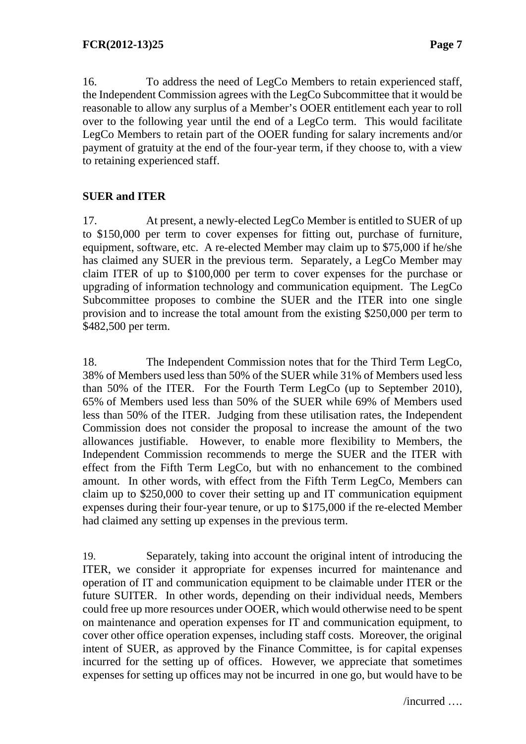16. To address the need of LegCo Members to retain experienced staff, the Independent Commission agrees with the LegCo Subcommittee that it would be reasonable to allow any surplus of a Member's OOER entitlement each year to roll over to the following year until the end of a LegCo term. This would facilitate LegCo Members to retain part of the OOER funding for salary increments and/or payment of gratuity at the end of the four-year term, if they choose to, with a view to retaining experienced staff.

# **SUER and ITER**

17. At present, a newly-elected LegCo Member is entitled to SUER of up to \$150,000 per term to cover expenses for fitting out, purchase of furniture, equipment, software, etc. A re-elected Member may claim up to \$75,000 if he/she has claimed any SUER in the previous term. Separately, a LegCo Member may claim ITER of up to \$100,000 per term to cover expenses for the purchase or upgrading of information technology and communication equipment. The LegCo Subcommittee proposes to combine the SUER and the ITER into one single provision and to increase the total amount from the existing \$250,000 per term to \$482,500 per term.

18. The Independent Commission notes that for the Third Term LegCo, 38% of Members used less than 50% of the SUER while 31% of Members used less than 50% of the ITER. For the Fourth Term LegCo (up to September 2010), 65% of Members used less than 50% of the SUER while 69% of Members used less than 50% of the ITER. Judging from these utilisation rates, the Independent Commission does not consider the proposal to increase the amount of the two allowances justifiable. However, to enable more flexibility to Members, the Independent Commission recommends to merge the SUER and the ITER with effect from the Fifth Term LegCo, but with no enhancement to the combined amount. In other words, with effect from the Fifth Term LegCo, Members can claim up to \$250,000 to cover their setting up and IT communication equipment expenses during their four-year tenure, or up to \$175,000 if the re-elected Member had claimed any setting up expenses in the previous term.

19. Separately, taking into account the original intent of introducing the ITER, we consider it appropriate for expenses incurred for maintenance and operation of IT and communication equipment to be claimable under ITER or the future SUITER. In other words, depending on their individual needs, Members could free up more resources under OOER, which would otherwise need to be spent on maintenance and operation expenses for IT and communication equipment, to cover other office operation expenses, including staff costs. Moreover, the original intent of SUER, as approved by the Finance Committee, is for capital expenses incurred for the setting up of offices. However, we appreciate that sometimes expenses for setting up offices may not be incurred in one go, but would have to be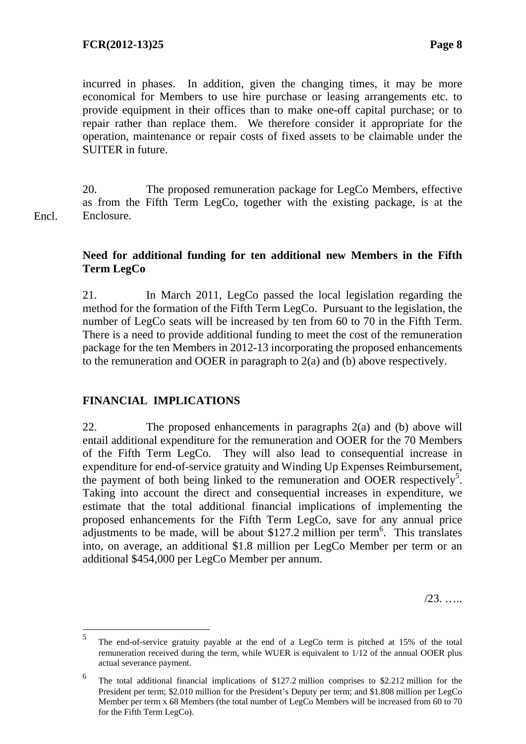incurred in phases. In addition, given the changing times, it may be more economical for Members to use hire purchase or leasing arrangements etc. to provide equipment in their offices than to make one-off capital purchase; or to repair rather than replace them. We therefore consider it appropriate for the operation, maintenance or repair costs of fixed assets to be claimable under the SUITER in future.

20. The proposed remuneration package for LegCo Members, effective as from the Fifth Term LegCo, together with the existing package, is at the Enclosure. Encl.

### **Need for additional funding for ten additional new Members in the Fifth Term LegCo**

21. In March 2011, LegCo passed the local legislation regarding the method for the formation of the Fifth Term LegCo. Pursuant to the legislation, the number of LegCo seats will be increased by ten from 60 to 70 in the Fifth Term. There is a need to provide additional funding to meet the cost of the remuneration package for the ten Members in 2012-13 incorporating the proposed enhancements to the remuneration and OOER in paragraph to 2(a) and (b) above respectively.

## **FINANCIAL IMPLICATIONS**

 $\overline{a}$ 

22. The proposed enhancements in paragraphs 2(a) and (b) above will entail additional expenditure for the remuneration and OOER for the 70 Members of the Fifth Term LegCo. They will also lead to consequential increase in expenditure for end-of-service gratuity and Winding Up Expenses Reimbursement, the payment of both being linked to the remuneration and OOER respectively<sup>5</sup>. Taking into account the direct and consequential increases in expenditure, we estimate that the total additional financial implications of implementing the proposed enhancements for the Fifth Term LegCo, save for any annual price adjustments to be made, will be about \$127.2 million per term<sup>6</sup>. This translates into, on average, an additional \$1.8 million per LegCo Member per term or an additional \$454,000 per LegCo Member per annum.

/23. …..

<sup>5</sup> The end-of-service gratuity payable at the end of a LegCo term is pitched at 15% of the total remuneration received during the term, while WUER is equivalent to 1/12 of the annual OOER plus actual severance payment.

<sup>6</sup> The total additional financial implications of \$127.2 million comprises to \$2.212 million for the President per term; \$2.010 million for the President's Deputy per term; and \$1.808 million per LegCo Member per term x 68 Members (the total number of LegCo Members will be increased from 60 to 70 for the Fifth Term LegCo).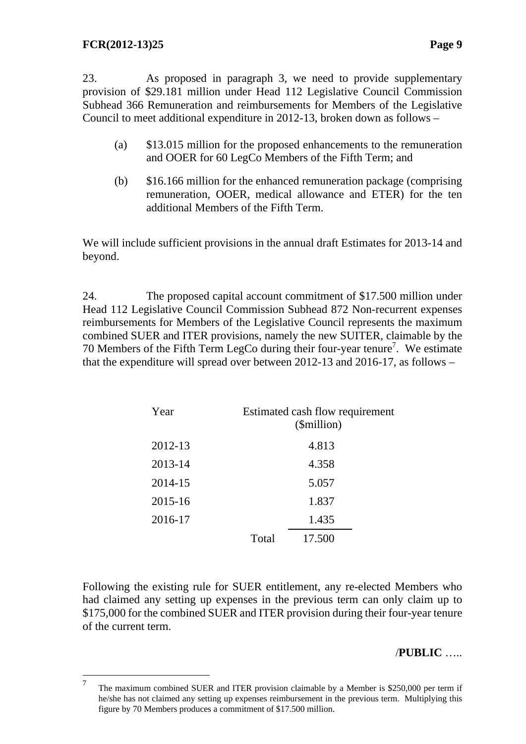$\overline{a}$ 

23. As proposed in paragraph 3, we need to provide supplementary provision of \$29.181 million under Head 112 Legislative Council Commission Subhead 366 Remuneration and reimbursements for Members of the Legislative Council to meet additional expenditure in 2012-13, broken down as follows –

- (a) \$13.015 million for the proposed enhancements to the remuneration and OOER for 60 LegCo Members of the Fifth Term; and
- (b) \$16.166 million for the enhanced remuneration package (comprising remuneration, OOER, medical allowance and ETER) for the ten additional Members of the Fifth Term.

We will include sufficient provisions in the annual draft Estimates for 2013-14 and beyond.

24. The proposed capital account commitment of \$17.500 million under Head 112 Legislative Council Commission Subhead 872 Non-recurrent expenses reimbursements for Members of the Legislative Council represents the maximum combined SUER and ITER provisions, namely the new SUITER, claimable by the 70 Members of the Fifth Term LegCo during their four-year tenure<sup>7</sup>. We estimate that the expenditure will spread over between 2012-13 and 2016-17, as follows –

| Year    |       | Estimated cash flow requirement<br>(\$million) |  |
|---------|-------|------------------------------------------------|--|
| 2012-13 |       | 4.813                                          |  |
| 2013-14 |       | 4.358                                          |  |
| 2014-15 |       | 5.057                                          |  |
| 2015-16 |       | 1.837                                          |  |
| 2016-17 |       | 1.435                                          |  |
|         | Total | 17.500                                         |  |

Following the existing rule for SUER entitlement, any re-elected Members who had claimed any setting up expenses in the previous term can only claim up to \$175,000 for the combined SUER and ITER provision during their four-year tenure of the current term.

#### /**PUBLIC** …..

<sup>7</sup> The maximum combined SUER and ITER provision claimable by a Member is \$250,000 per term if he/she has not claimed any setting up expenses reimbursement in the previous term. Multiplying this figure by 70 Members produces a commitment of \$17.500 million.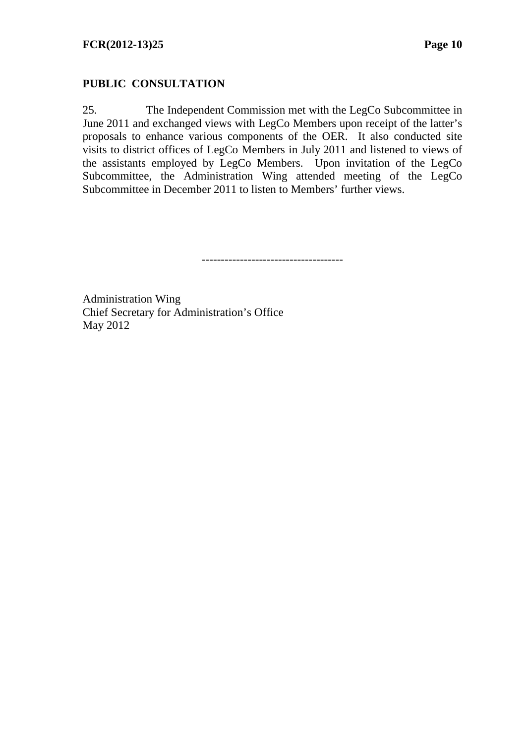## **PUBLIC CONSULTATION**

25. The Independent Commission met with the LegCo Subcommittee in June 2011 and exchanged views with LegCo Members upon receipt of the latter's proposals to enhance various components of the OER. It also conducted site visits to district offices of LegCo Members in July 2011 and listened to views of the assistants employed by LegCo Members. Upon invitation of the LegCo Subcommittee, the Administration Wing attended meeting of the LegCo Subcommittee in December 2011 to listen to Members' further views.

-------------------------------------

Administration Wing Chief Secretary for Administration's Office May 2012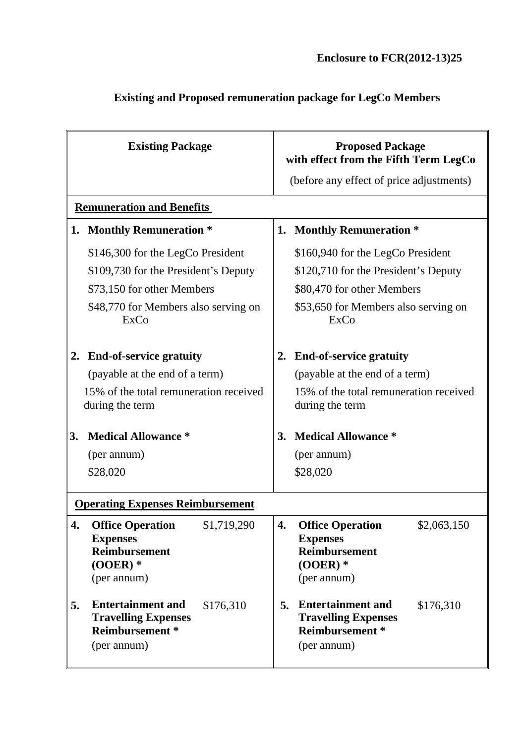| <b>Existing Package</b>                 |                                                                                                                | <b>Proposed Package</b><br>with effect from the Fifth Term LegCo |                                                                                                                |  |  |  |
|-----------------------------------------|----------------------------------------------------------------------------------------------------------------|------------------------------------------------------------------|----------------------------------------------------------------------------------------------------------------|--|--|--|
|                                         |                                                                                                                |                                                                  | (before any effect of price adjustments)                                                                       |  |  |  |
| <b>Remuneration and Benefits</b>        |                                                                                                                |                                                                  |                                                                                                                |  |  |  |
|                                         | 1. Monthly Remuneration *                                                                                      | 1. Monthly Remuneration *                                        |                                                                                                                |  |  |  |
|                                         | \$146,300 for the LegCo President                                                                              |                                                                  | \$160,940 for the LegCo President                                                                              |  |  |  |
|                                         | \$109,730 for the President's Deputy                                                                           |                                                                  | \$120,710 for the President's Deputy                                                                           |  |  |  |
|                                         | \$73,150 for other Members                                                                                     |                                                                  | \$80,470 for other Members                                                                                     |  |  |  |
|                                         | \$48,770 for Members also serving on<br>ExCo                                                                   |                                                                  | \$53,650 for Members also serving on<br>ExCo                                                                   |  |  |  |
|                                         | 2. End-of-service gratuity                                                                                     | <b>End-of-service gratuity</b><br>2.                             |                                                                                                                |  |  |  |
|                                         | (payable at the end of a term)                                                                                 |                                                                  | (payable at the end of a term)                                                                                 |  |  |  |
|                                         | 15% of the total remuneration received<br>during the term                                                      |                                                                  | 15% of the total remuneration received<br>during the term                                                      |  |  |  |
| 3.                                      | <b>Medical Allowance *</b>                                                                                     |                                                                  | <b>Medical Allowance *</b><br>3.                                                                               |  |  |  |
|                                         | (per annum)                                                                                                    |                                                                  | (per annum)                                                                                                    |  |  |  |
|                                         | \$28,020                                                                                                       |                                                                  | \$28,020                                                                                                       |  |  |  |
| <b>Operating Expenses Reimbursement</b> |                                                                                                                |                                                                  |                                                                                                                |  |  |  |
| 4.                                      | \$1,719,290<br><b>Office Operation</b><br><b>Expenses</b><br><b>Reimbursement</b><br>$(OOER)$ *<br>(per annum) | 4.                                                               | \$2,063,150<br><b>Office Operation</b><br><b>Expenses</b><br><b>Reimbursement</b><br>$(OOER)$ *<br>(per annum) |  |  |  |
| 5.                                      | <b>Entertainment and</b><br>\$176,310<br><b>Travelling Expenses</b><br><b>Reimbursement</b> *<br>(per annum)   | 5.                                                               | <b>Entertainment and</b><br>\$176,310<br><b>Travelling Expenses</b><br>Reimbursement *<br>(per annum)          |  |  |  |

# **Existing and Proposed remuneration package for LegCo Members**